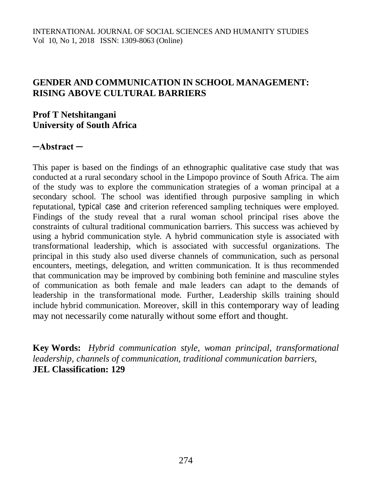## **GENDER AND COMMUNICATION IN SCHOOL MANAGEMENT: RISING ABOVE CULTURAL BARRIERS**

## **Prof T Netshitangani University of South Africa**

### **─Abstract ─**

This paper is based on the findings of an ethnographic qualitative case study that was conducted at a rural secondary school in the Limpopo province of South Africa. The aim of the study was to explore the communication strategies of a woman principal at a secondary school. The school was identified through purposive sampling in which reputational, typical case and criterion referenced sampling techniques were employed. Findings of the study reveal that a rural woman school principal rises above the constraints of cultural traditional communication barriers. This success was achieved by using a hybrid communication style. A hybrid communication style is associated with transformational leadership, which is associated with successful organizations. The principal in this study also used diverse channels of communication, such as personal encounters, meetings, delegation, and written communication. It is thus recommended that communication may be improved by combining both feminine and masculine styles of communication as both female and male leaders can adapt to the demands of leadership in the transformational mode. Further, Leadership skills training should include hybrid communication. Moreover, skill in this contemporary way of leading may not necessarily come naturally without some effort and thought.

**Key Words:** *Hybrid communication style, woman principal, transformational leadership, channels of communication, traditional communication barriers,*  **JEL Classification: 129**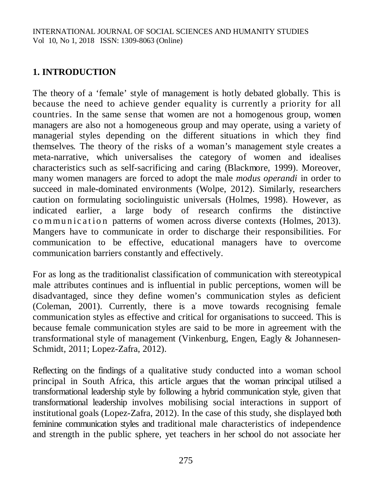# **1. INTRODUCTION**

The theory of a 'female' style of management is hotly debated globally. This is because the need to achieve gender equality is currently a priority for all countries. In the same sense that women are not a homogenous group, women managers are also not a homogeneous group and may operate, using a variety of managerial styles depending on the different situations in which they find themselves. The theory of the risks of a woman's management style creates a meta-narrative, which universalises the category of women and idealises characteristics such as self-sacrificing and caring (Blackmore, 1999). Moreover, many women managers are forced to adopt the male *modus operandi* in order to succeed in male-dominated environments (Wolpe, 2012). Similarly, researchers caution on formulating sociolinguistic universals (Holmes, 1998). However, as indicated earlier, a large body of research confirms the distinctive communication patterns of women across diverse contexts (Holmes, 2013). Mangers have to communicate in order to discharge their responsibilities. For communication to be effective, educational managers have to overcome communication barriers constantly and effectively.

For as long as the traditionalist classification of communication with stereotypical male attributes continues and is influential in public perceptions, women will be disadvantaged, since they define women's communication styles as deficient (Coleman, 2001). Currently, there is a move towards recognising female communication styles as effective and critical for organisations to succeed. This is because female communication styles are said to be more in agreement with the transformational style of management (Vinkenburg, Engen, Eagly & Johannesen-Schmidt, 2011; Lopez-Zafra, 2012).

Reflecting on the findings of a qualitative study conducted into a woman school principal in South Africa, this article argues that the woman principal utilised a transformational leadership style by following a hybrid communication style, given that transformational leadership involves mobilising social interactions in support of institutional goals (Lopez-Zafra, 2012). In the case of this study, she displayed both feminine communication styles and traditional male characteristics of independence and strength in the public sphere, yet teachers in her school do not associate her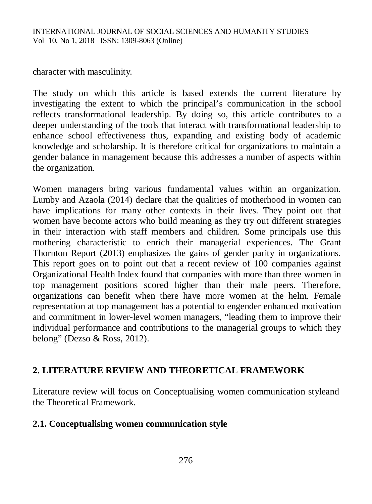character with masculinity.

The study on which this article is based extends the current literature by investigating the extent to which the principal's communication in the school reflects transformational leadership. By doing so, this article contributes to a deeper understanding of the tools that interact with transformational leadership to enhance school effectiveness thus, expanding and existing body of academic knowledge and scholarship. It is therefore critical for organizations to maintain a gender balance in management because this addresses a number of aspects within the organization.

Women managers bring various fundamental values within an organization. Lumby and Azaola (2014) declare that the qualities of motherhood in women can have implications for many other contexts in their lives. They point out that women have become actors who build meaning as they try out different strategies in their interaction with staff members and children. Some principals use this mothering characteristic to enrich their managerial experiences. The Grant Thornton Report (2013) emphasizes the gains of gender parity in organizations. This report goes on to point out that a recent review of 100 companies against Organizational Health Index found that companies with more than three women in top management positions scored higher than their male peers. Therefore, organizations can benefit when there have more women at the helm. Female representation at top management has a potential to engender enhanced motivation and commitment in lower-level women managers, "leading them to improve their individual performance and contributions to the managerial groups to which they belong" (Dezso & Ross, 2012).

## **2. LITERATURE REVIEW AND THEORETICAL FRAMEWORK**

Literature review will focus on Conceptualising women communication styleand the Theoretical Framework.

### **2.1. Conceptualising women communication style**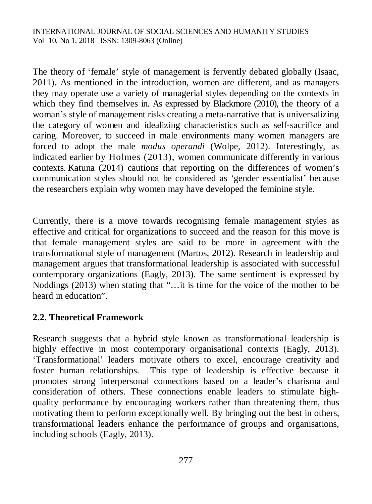The theory of 'female' style of management is fervently debated globally (Isaac, 2011). As mentioned in the introduction, women are different, and as managers they may operate use a variety of managerial styles depending on the contexts in which they find themselves in. As expressed by Blackmore (2010), the theory of a woman's style of management risks creating a meta-narrative that is universalizing the category of women and idealizing characteristics such as self-sacrifice and caring. Moreover, to succeed in male environments many women managers are forced to adopt the male *modus operandi* (Wolpe, 2012). Interestingly, as indicated earlier by Holmes (2013), women communicate differently in various contexts. Katuna (2014) cautions that reporting on the differences of women's communication styles should not be considered as 'gender essentialist' because the researchers explain why women may have developed the feminine style.

Currently, there is a move towards recognising female management styles as effective and critical for organizations to succeed and the reason for this move is that female management styles are said to be more in agreement with the transformational style of management (Martos, 2012). Research in leadership and management argues that transformational leadership is associated with successful contemporary organizations (Eagly, 2013). The same sentiment is expressed by Noddings (2013) when stating that "…it is time for the voice of the mother to be heard in education".

## **2.2. Theoretical Framework**

Research suggests that a hybrid style known as transformational leadership is highly effective in most contemporary organisational contexts (Eagly, 2013). 'Transformational' leaders motivate others to excel, encourage creativity and foster human relationships. This type of leadership is effective because it promotes strong interpersonal connections based on a leader's charisma and consideration of others. These connections enable leaders to stimulate highquality performance by encouraging workers rather than threatening them, thus motivating them to perform exceptionally well. By bringing out the best in others, transformational leaders enhance the performance of groups and organisations, including schools (Eagly, 2013).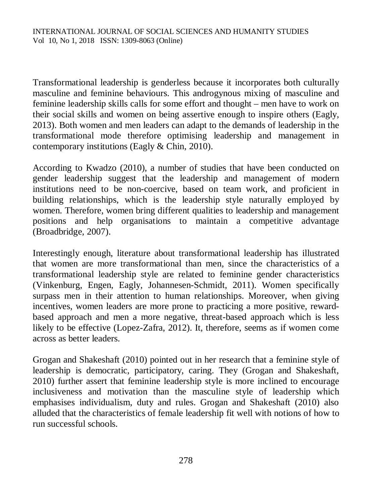Transformational leadership is genderless because it incorporates both culturally masculine and feminine behaviours. This androgynous mixing of masculine and feminine leadership skills calls for some effort and thought – men have to work on their social skills and women on being assertive enough to inspire others (Eagly, 2013). Both women and men leaders can adapt to the demands of leadership in the transformational mode therefore optimising leadership and management in contemporary institutions (Eagly & Chin, 2010).

According to Kwadzo (2010), a number of studies that have been conducted on gender leadership suggest that the leadership and management of modern institutions need to be non-coercive, based on team work, and proficient in building relationships, which is the leadership style naturally employed by women. Therefore, women bring different qualities to leadership and management positions and help organisations to maintain a competitive advantage (Broadbridge, 2007).

Interestingly enough, literature about transformational leadership has illustrated that women are more transformational than men, since the characteristics of a transformational leadership style are related to feminine gender characteristics (Vinkenburg, Engen, Eagly, Johannesen-Schmidt, 2011). Women specifically surpass men in their attention to human relationships. Moreover, when giving incentives, women leaders are more prone to practicing a more positive, rewardbased approach and men a more negative, threat-based approach which is less likely to be effective (Lopez-Zafra, 2012). It, therefore, seems as if women come across as better leaders.

Grogan and Shakeshaft (2010) pointed out in her research that a feminine style of leadership is democratic, participatory, caring. They (Grogan and Shakeshaft, 2010) further assert that feminine leadership style is more inclined to encourage inclusiveness and motivation than the masculine style of leadership which emphasises individualism, duty and rules. Grogan and Shakeshaft (2010) also alluded that the characteristics of female leadership fit well with notions of how to run successful schools.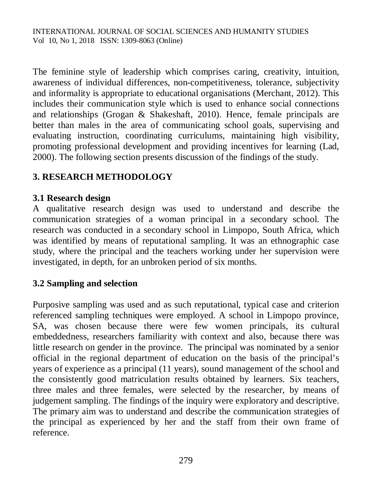The feminine style of leadership which comprises caring, creativity, intuition, awareness of individual differences, non-competitiveness, tolerance, subjectivity and informality is appropriate to educational organisations (Merchant, 2012). This includes their communication style which is used to enhance social connections and relationships (Grogan & Shakeshaft, 2010). Hence, female principals are better than males in the area of communicating school goals, supervising and evaluating instruction, coordinating curriculums, maintaining high visibility, promoting professional development and providing incentives for learning (Lad, 2000). The following section presents discussion of the findings of the study.

# **3. RESEARCH METHODOLOGY**

## **3.1 Research design**

A qualitative research design was used to understand and describe the communication strategies of a woman principal in a secondary school. The research was conducted in a secondary school in Limpopo, South Africa, which was identified by means of reputational sampling. It was an ethnographic case study, where the principal and the teachers working under her supervision were investigated, in depth, for an unbroken period of six months.

# **3.2 Sampling and selection**

Purposive sampling was used and as such reputational, typical case and criterion referenced sampling techniques were employed. A school in Limpopo province, SA, was chosen because there were few women principals, its cultural embeddedness, researchers familiarity with context and also, because there was little research on gender in the province. The principal was nominated by a senior official in the regional department of education on the basis of the principal's years of experience as a principal (11 years), sound management of the school and the consistently good matriculation results obtained by learners. Six teachers, three males and three females, were selected by the researcher, by means of judgement sampling. The findings of the inquiry were exploratory and descriptive. The primary aim was to understand and describe the communication strategies of the principal as experienced by her and the staff from their own frame of reference.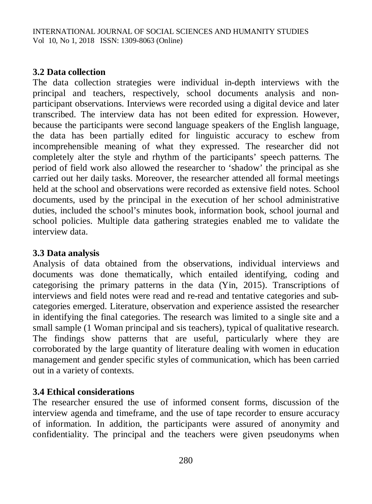## **3.2 Data collection**

The data collection strategies were individual in-depth interviews with the principal and teachers, respectively, school documents analysis and nonparticipant observations. Interviews were recorded using a digital device and later transcribed. The interview data has not been edited for expression. However, because the participants were second language speakers of the English language, the data has been partially edited for linguistic accuracy to eschew from incomprehensible meaning of what they expressed. The researcher did not completely alter the style and rhythm of the participants' speech patterns. The period of field work also allowed the researcher to 'shadow' the principal as she carried out her daily tasks. Moreover, the researcher attended all formal meetings held at the school and observations were recorded as extensive field notes. School documents, used by the principal in the execution of her school administrative duties, included the school's minutes book, information book, school journal and school policies. Multiple data gathering strategies enabled me to validate the interview data.

## **3.3 Data analysis**

Analysis of data obtained from the observations, individual interviews and documents was done thematically, which entailed identifying, coding and categorising the primary patterns in the data (Yin, 2015). Transcriptions of interviews and field notes were read and re-read and tentative categories and subcategories emerged. Literature, observation and experience assisted the researcher in identifying the final categories. The research was limited to a single site and a small sample (1 Woman principal and sis teachers), typical of qualitative research. The findings show patterns that are useful, particularly where they are corroborated by the large quantity of literature dealing with women in education management and gender specific styles of communication, which has been carried out in a variety of contexts.

## **3.4 Ethical considerations**

The researcher ensured the use of informed consent forms, discussion of the interview agenda and timeframe, and the use of tape recorder to ensure accuracy of information. In addition, the participants were assured of anonymity and confidentiality. The principal and the teachers were given pseudonyms when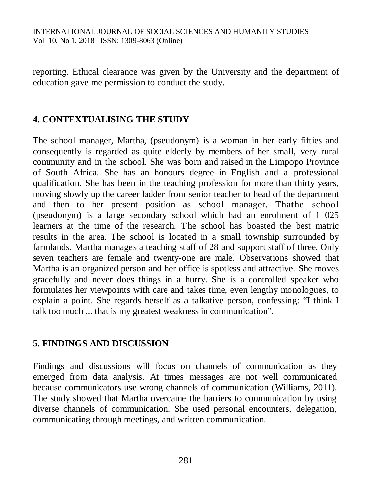reporting. Ethical clearance was given by the University and the department of education gave me permission to conduct the study.

## **4. CONTEXTUALISING THE STUDY**

The school manager, Martha, (pseudonym) is a woman in her early fifties and consequently is regarded as quite elderly by members of her small, very rural community and in the school. She was born and raised in the Limpopo Province of South Africa. She has an honours degree in English and a professional qualification. She has been in the teaching profession for more than thirty years, moving slowly up the career ladder from senior teacher to head of the department and then to her present position as school manager. Thathe school (pseudonym) is a large secondary school which had an enrolment of 1 025 learners at the time of the research. The school has boasted the best matric results in the area. The school is located in a small township surrounded by farmlands. Martha manages a teaching staff of 28 and support staff of three. Only seven teachers are female and twenty-one are male. Observations showed that Martha is an organized person and her office is spotless and attractive. She moves gracefully and never does things in a hurry. She is a controlled speaker who formulates her viewpoints with care and takes time, even lengthy monologues, to explain a point. She regards herself as a talkative person, confessing: "I think I talk too much ... that is my greatest weakness in communication".

### **5. FINDINGS AND DISCUSSION**

Findings and discussions will focus on channels of communication as they emerged from data analysis. At times messages are not well communicated because communicators use wrong channels of communication (Williams, 2011). The study showed that Martha overcame the barriers to communication by using diverse channels of communication. She used personal encounters, delegation, communicating through meetings, and written communication.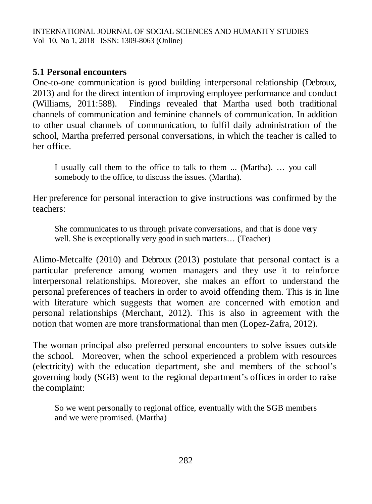## **5.1 Personal encounters**

One-to-one communication is good building interpersonal relationship (Debroux, 2013) and for the direct intention of improving employee performance and conduct (Williams, 2011:588). Findings revealed that Martha used both traditional channels of communication and feminine channels of communication. In addition to other usual channels of communication, to fulfil daily administration of the school, Martha preferred personal conversations, in which the teacher is called to her office.

I usually call them to the office to talk to them ... (Martha). … you call somebody to the office, to discuss the issues. (Martha).

Her preference for personal interaction to give instructions was confirmed by the teachers:

She communicates to us through private conversations, and that is done very well. She is exceptionally very good in such matters… (Teacher)

Alimo-Metcalfe (2010) and Debroux (2013) postulate that personal contact is a particular preference among women managers and they use it to reinforce interpersonal relationships. Moreover, she makes an effort to understand the personal preferences of teachers in order to avoid offending them. This is in line with literature which suggests that women are concerned with emotion and personal relationships (Merchant, 2012). This is also in agreement with the notion that women are more transformational than men (Lopez-Zafra, 2012).

The woman principal also preferred personal encounters to solve issues outside the school. Moreover, when the school experienced a problem with resources (electricity) with the education department, she and members of the school's governing body (SGB) went to the regional department's offices in order to raise the complaint:

So we went personally to regional office, eventually with the SGB members and we were promised. (Martha)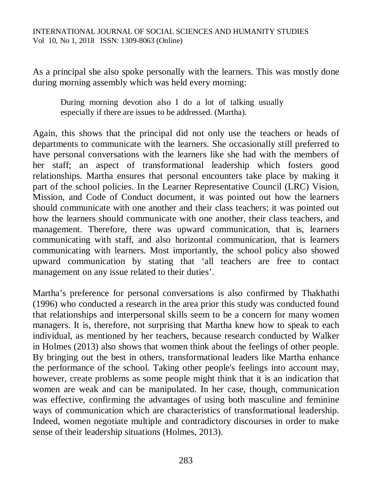As a principal she also spoke personally with the learners. This was mostly done during morning assembly which was held every morning:

During morning devotion also I do a lot of talking usually especially if there are issues to be addressed. (Martha).

Again, this shows that the principal did not only use the teachers or heads of departments to communicate with the learners. She occasionally still preferred to have personal conversations with the learners like she had with the members of her staff; an aspect of transformational leadership which fosters good relationships. Martha ensures that personal encounters take place by making it part of the school policies. In the Learner Representative Council (LRC) Vision, Mission, and Code of Conduct document, it was pointed out how the learners should communicate with one another and their class teachers; it was pointed out how the learners should communicate with one another, their class teachers, and management. Therefore, there was upward communication, that is, learners communicating with staff, and also horizontal communication, that is learners communicating with learners. Most importantly, the school policy also showed upward communication by stating that 'all teachers are free to contact management on any issue related to their duties'.

Martha's preference for personal conversations is also confirmed by Thakhathi (1996) who conducted a research in the area prior this study was conducted found that relationships and interpersonal skills seem to be a concern for many women managers. It is, therefore, not surprising that Martha knew how to speak to each individual, as mentioned by her teachers, because research conducted by Walker in Holmes (2013) also shows that women think about the feelings of other people. By bringing out the best in others, transformational leaders like Martha enhance the performance of the school. Taking other people's feelings into account may, however, create problems as some people might think that it is an indication that women are weak and can be manipulated. In her case, though, communication was effective, confirming the advantages of using both masculine and feminine ways of communication which are characteristics of transformational leadership. Indeed, women negotiate multiple and contradictory discourses in order to make sense of their leadership situations (Holmes, 2013).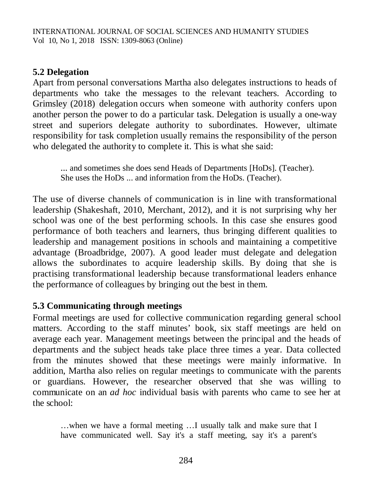## **5.2 Delegation**

Apart from personal conversations Martha also delegates instructions to heads of departments who take the messages to the relevant teachers. According to Grimsley (2018) delegation occurs when someone with authority confers upon another person the power to do a particular task. Delegation is usually a one-way street and superiors delegate authority to subordinates. However, ultimate responsibility for task completion usually remains the responsibility of the person who delegated the authority to complete it. This is what she said:

... and sometimes she does send Heads of Departments [HoDs]. (Teacher). She uses the HoDs ... and information from the HoDs. (Teacher).

The use of diverse channels of communication is in line with transformational leadership (Shakeshaft, 2010, Merchant, 2012), and it is not surprising why her school was one of the best performing schools. In this case she ensures good performance of both teachers and learners, thus bringing different qualities to leadership and management positions in schools and maintaining a competitive advantage (Broadbridge, 2007). A good leader must delegate and delegation allows the subordinates to acquire leadership skills. By doing that she is practising transformational leadership because transformational leaders enhance the performance of colleagues by bringing out the best in them.

### **5.3 Communicating through meetings**

Formal meetings are used for collective communication regarding general school matters. According to the staff minutes' book, six staff meetings are held on average each year. Management meetings between the principal and the heads of departments and the subject heads take place three times a year. Data collected from the minutes showed that these meetings were mainly informative. In addition, Martha also relies on regular meetings to communicate with the parents or guardians. However, the researcher observed that she was willing to communicate on an *ad hoc* individual basis with parents who came to see her at the school:

…when we have a formal meeting …I usually talk and make sure that I have communicated well. Say it's a staff meeting, say it's a parent's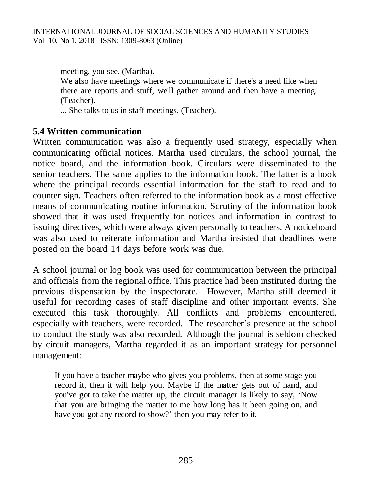meeting, you see. (Martha). We also have meetings where we communicate if there's a need like when there are reports and stuff, we'll gather around and then have a meeting. (Teacher).

... She talks to us in staff meetings. (Teacher).

#### **5.4 Written communication**

Written communication was also a frequently used strategy, especially when communicating official notices. Martha used circulars, the school journal, the notice board, and the information book. Circulars were disseminated to the senior teachers. The same applies to the information book. The latter is a book where the principal records essential information for the staff to read and to counter sign. Teachers often referred to the information book as a most effective means of communicating routine information. Scrutiny of the information book showed that it was used frequently for notices and information in contrast to issuing directives, which were always given personally to teachers. A noticeboard was also used to reiterate information and Martha insisted that deadlines were posted on the board 14 days before work was due.

A school journal or log book was used for communication between the principal and officials from the regional office. This practice had been instituted during the previous dispensation by the inspectorate. However, Martha still deemed it useful for recording cases of staff discipline and other important events. She executed this task thoroughly. All conflicts and problems encountered, especially with teachers, were recorded. The researcher's presence at the school to conduct the study was also recorded. Although the journal is seldom checked by circuit managers, Martha regarded it as an important strategy for personnel management:

If you have a teacher maybe who gives you problems, then at some stage you record it, then it will help you. Maybe if the matter gets out of hand, and you've got to take the matter up, the circuit manager is likely to say, 'Now that you are bringing the matter to me how long has it been going on, and have you got any record to show?' then you may refer to it.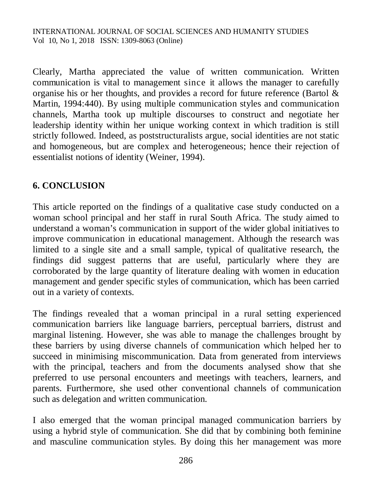Clearly, Martha appreciated the value of written communication. Written communication is vital to management since it allows the manager to carefully organise his or her thoughts, and provides a record for future reference (Bartol & Martin, 1994:440). By using multiple communication styles and communication channels, Martha took up multiple discourses to construct and negotiate her leadership identity within her unique working context in which tradition is still strictly followed. Indeed, as poststructuralists argue, social identities are not static and homogeneous, but are complex and heterogeneous; hence their rejection of essentialist notions of identity (Weiner, 1994).

## **6. CONCLUSION**

This article reported on the findings of a qualitative case study conducted on a woman school principal and her staff in rural South Africa. The study aimed to understand a woman's communication in support of the wider global initiatives to improve communication in educational management. Although the research was limited to a single site and a small sample, typical of qualitative research, the findings did suggest patterns that are useful, particularly where they are corroborated by the large quantity of literature dealing with women in education management and gender specific styles of communication, which has been carried out in a variety of contexts.

The findings revealed that a woman principal in a rural setting experienced communication barriers like language barriers, perceptual barriers, distrust and marginal listening. However, she was able to manage the challenges brought by these barriers by using diverse channels of communication which helped her to succeed in minimising miscommunication. Data from generated from interviews with the principal, teachers and from the documents analysed show that she preferred to use personal encounters and meetings with teachers, learners, and parents. Furthermore, she used other conventional channels of communication such as delegation and written communication.

I also emerged that the woman principal managed communication barriers by using a hybrid style of communication. She did that by combining both feminine and masculine communication styles. By doing this her management was more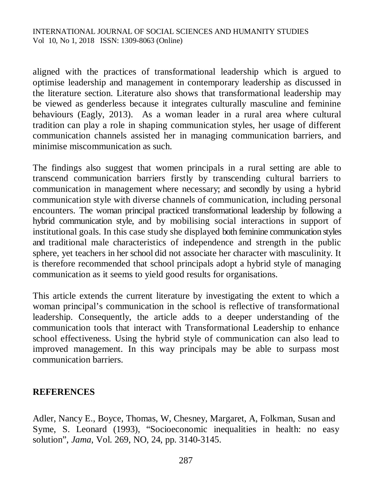aligned with the practices of transformational leadership which is argued to optimise leadership and management in contemporary leadership as discussed in the literature section. Literature also shows that transformational leadership may be viewed as genderless because it integrates culturally masculine and feminine behaviours (Eagly, 2013). As a woman leader in a rural area where cultural tradition can play a role in shaping communication styles, her usage of different communication channels assisted her in managing communication barriers, and minimise miscommunication as such.

The findings also suggest that women principals in a rural setting are able to transcend communication barriers firstly by transcending cultural barriers to communication in management where necessary; and secondly by using a hybrid communication style with diverse channels of communication, including personal encounters. The woman principal practiced transformational leadership by following a hybrid communication style, and by mobilising social interactions in support of institutional goals. In this case study she displayed both feminine communication styles and traditional male characteristics of independence and strength in the public sphere, yet teachers in her school did not associate her character with masculinity. It is therefore recommended that school principals adopt a hybrid style of managing communication as it seems to yield good results for organisations.

This article extends the current literature by investigating the extent to which a woman principal's communication in the school is reflective of transformational leadership. Consequently, the article adds to a deeper understanding of the communication tools that interact with Transformational Leadership to enhance school effectiveness. Using the hybrid style of communication can also lead to improved management. In this way principals may be able to surpass most communication barriers.

### **REFERENCES**

Adler, Nancy E., Boyce, Thomas, W, Chesney, Margaret, A, Folkman, Susan and Syme, S. Leonard (1993), "Socioeconomic inequalities in health: no easy solution", *Jama*, Vol. 269, NO, 24, pp. 3140-3145.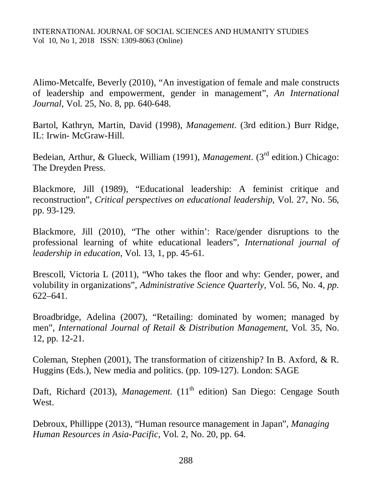Alimo-Metcalfe, Beverly (2010), "An investigation of female and male constructs of leadership and empowerment, gender in management", *An International Journal*, Vol. 25, No. 8, pp. 640-648.

Bartol, Kathryn, Martin, David (1998), *Management*. (3rd edition.) Burr Ridge, IL: Irwin- McGraw-Hill.

Bedeian, Arthur, & Glueck, William (1991), *Management*. (3rd edition.) Chicago: The Dreyden Press.

Blackmore, Jill (1989), "Educational leadership: A feminist critique and reconstruction", *Critical perspectives on educational leadership*, Vol. 27, No. 56, pp. 93-129.

Blackmore, Jill (2010), "The other within': Race/gender disruptions to the professional learning of white educational leaders", *International journal of leadership in education*, Vol. 13*,* 1, pp. 45-61.

Brescoll, Victoria L (2011), "Who takes the floor and why: Gender, power, and volubility in organizations", *Administrative Science Quarterly,* Vol. 56, No. 4, *pp.*  622–641.

Broadbridge, Adelina (2007), "Retailing: dominated by women; managed by men", *International Journal of Retail & Distribution Management*, Vol. 35, No. 12, pp. 12-21.

Coleman, Stephen (2001), The transformation of citizenship? In B. Axford, & R. Huggins (Eds.), New media and politics. (pp. 109-127). London: SAGE

Daft, Richard (2013), *Management*. (11<sup>th</sup> edition) San Diego: Cengage South West.

Debroux, Phillippe (2013), "Human resource management in Japan", *Managing Human Resources in Asia-Pacific,* Vol. 2, No. 20, pp. 64.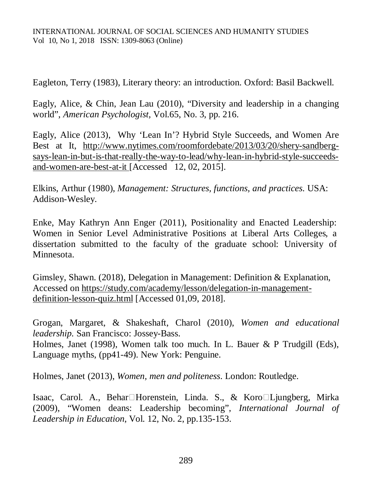Eagleton, Terry (1983), Literary theory: an introduction. Oxford: Basil Backwell.

Eagly, Alice, & Chin, Jean Lau (2010), "Diversity and leadership in a changing world", *American Psychologist,* Vol.65, No. 3, pp. 216.

Eagly, Alice (2013), Why 'Lean In'? Hybrid Style Succeeds, and Women Are Best at It, [http://www.nytimes.com/roomfordebate/2013/03/20/shery-sandberg](http://www.nytimes.com/roomfordebate/2013/03/20/shery-sandberg-)says-lean-in-but-is-that-really-the-way-to-lead/why-lean-in-hybrid-style-succeedsand-women-are-best-at-it [Accessed 12, 02, 2015].

Elkins, Arthur (1980), *Management: Structures, functions, and practices*. USA: Addison-Wesley.

Enke, May Kathryn Ann Enger (2011), Positionality and Enacted Leadership: Women in Senior Level Administrative Positions at Liberal Arts Colleges, a dissertation submitted to the faculty of the graduate school: University of Minnesota.

Gimsley, Shawn. (2018), Delegation in Management: Definition & Explanation, Accessed on [https://study.com/academy/lesson/delegation-in-management](https://study.com/academy/lesson/delegation-in-management-)definition-lesson-quiz.html [Accessed 01,09, 2018].

Grogan, Margaret, & Shakeshaft, Charol (2010), *Women and educational leadership.* San Francisco: Jossey-Bass. Holmes, Janet (1998), Women talk too much. In L. Bauer & P Trudgill (Eds), Language myths, (pp41-49). New York: Penguine.

Holmes, Janet (2013), *Women, men and politeness*. London: Routledge.

Isaac, Carol. A., Behar□Horenstein, Linda. S., & Koro□Ljungberg, Mirka (2009), "Women deans: Leadership becoming", *International Journal of Leadership in Education*, Vol. 12, No. 2, pp.135-153.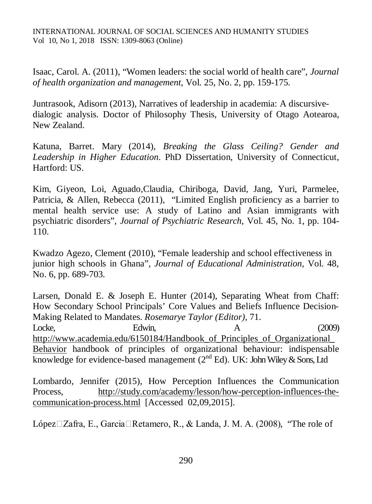Isaac, Carol. A. (2011), "Women leaders: the social world of health care", *Journal of health organization and management*, Vol. 25, No. 2, pp. 159-175.

Juntrasook, Adisorn (2013), Narratives of leadership in academia: A discursivedialogic analysis. Doctor of Philosophy Thesis, University of Otago Aotearoa, New Zealand.

Katuna, Barret. Mary (2014), *Breaking the Glass Ceiling? Gender and Leadership in Higher Education*. PhD Dissertation, University of Connecticut, Hartford: US.

Kim, Giyeon, Loi, Aguado,Claudia, Chiriboga, David, Jang, Yuri, Parmelee, Patricia, & Allen, Rebecca (2011), "Limited English proficiency as a barrier to mental health service use: A study of Latino and Asian immigrants with psychiatric disorders", *Journal of Psychiatric Research*, Vol. 45, No*.* 1, pp. 104- 110.

Kwadzo Agezo, Clement (2010), "Female leadership and school effectiveness in junior high schools in Ghana", *Journal of Educational Administration*, Vol. 48, No. 6, pp. 689-703.

Larsen, Donald E. & Joseph E. Hunter (2014), Separating Wheat from Chaff: How Secondary School Principals' Core Values and Beliefs Influence Decision-Making Related to Mandates. *Rosemarye Taylor (Editor),* 71. Locke, Edwin, A (2009) http://www.academia.edu/6150184/Handbook of Principles of Organizational Behavior handbook of principles of organizational behaviour: indispensable knowledge for evidence-based management  $(2^{nd} Ed)$ . UK: John Wiley & Sons, Ltd

Lombardo, Jennifer (2015), How Perception Influences the Communication Process, [http://study.com/academy/lesson/how-perception-influences-the](http://study.com/academy/lesson/how-perception-influences-the-)communication-process.html [Accessed 02,09,2015].

López $\Box$ Zafra, E., Garcia $\Box$ Retamero, R., & Landa, J. M. A. (2008), "The role of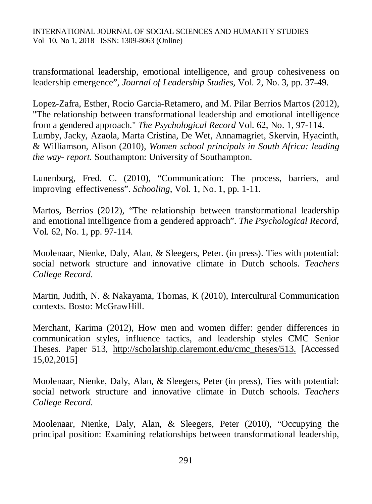transformational leadership, emotional intelligence, and group cohesiveness on leadership emergence", *Journal of Leadership Studies*, Vol. 2, No. 3, pp. 37-49.

Lopez-Zafra, Esther, Rocio Garcia-Retamero, and M. Pilar Berrios Martos (2012), "The relationship between transformational leadership and emotional intelligence from a gendered approach." *The Psychological Record* Vol. 62, No. 1, 97-114. Lumby, Jacky, Azaola, Marta Cristina, De Wet, Annamagriet, Skervin, Hyacinth, & Williamson, Alison (2010), *Women school principals in South Africa: leading the way- report*. Southampton: University of Southampton.

Lunenburg, Fred. C. (2010), "Communication: The process, barriers, and improving effectiveness". *Schooling*, Vol. 1, No. 1, pp. 1-11.

Martos, Berrios (2012), "The relationship between transformational leadership and emotional intelligence from a gendered approach". *The Psychological Record*, Vol. 62, No. 1, pp. 97-114.

Moolenaar, Nienke, Daly, Alan, & Sleegers, Peter. (in press). Ties with potential: social network structure and innovative climate in Dutch schools. *Teachers College Record*.

Martin, Judith, N. & Nakayama, Thomas, K (2010), Intercultural Communication contexts. Bosto: McGrawHill.

Merchant, Karima (2012), How men and women differ: gender differences in communication styles, influence tactics, and leadership styles CMC Senior Theses. Paper 513, [http://scholarship.claremont.edu/cmc\\_theses/513.](http://scholarship.claremont.edu/cmc_theses/513.) [Accessed 15,02,2015]

Moolenaar, Nienke, Daly, Alan, & Sleegers, Peter (in press), Ties with potential: social network structure and innovative climate in Dutch schools. *Teachers College Record*.

Moolenaar, Nienke, Daly, Alan, & Sleegers, Peter (2010), "Occupying the principal position: Examining relationships between transformational leadership,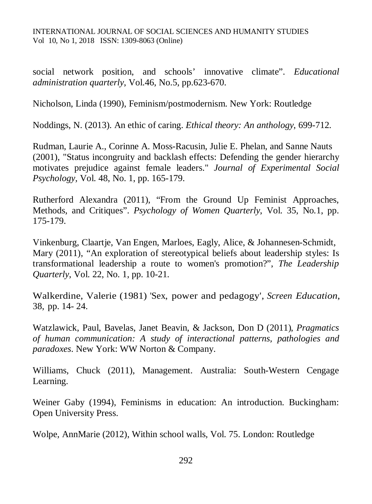social network position, and schools' innovative climate". *Educational administration quarterly*, Vol.46, No.5, pp.623-670.

Nicholson, Linda (1990), Feminism/postmodernism. New York: Routledge

Noddings, N. (2013). An ethic of caring. *Ethical theory: An anthology*, 699-712.

Rudman, Laurie A., Corinne A. Moss-Racusin, Julie E. Phelan, and Sanne Nauts (2001), "Status incongruity and backlash effects: Defending the gender hierarchy motivates prejudice against female leaders." *Journal of Experimental Social Psychology,* Vol. 48, No. 1, pp. 165-179.

Rutherford Alexandra (2011), "From the Ground Up Feminist Approaches, Methods, and Critiques". *Psychology of Women Quarterly*, Vol. 35, No*.*1, pp. 175-179.

Vinkenburg, Claartje, Van Engen, Marloes, Eagly, Alice, & Johannesen-Schmidt, Mary (2011), "An exploration of stereotypical beliefs about leadership styles: Is transformational leadership a route to women's promotion?", *The Leadership Quarterly*, Vol. 22, No*.* 1, pp. 10-21.

Walkerdine, Valerie (1981) 'Sex, power and pedagogy', *Screen Education*, 38, pp. 14- 24.

Watzlawick, Paul, Bavelas, Janet Beavin, & Jackson, Don D (2011), *Pragmatics of human communication: A study of interactional patterns, pathologies and paradoxes*. New York: WW Norton & Company.

Williams, Chuck (2011), Management. Australia: South-Western Cengage Learning.

Weiner Gaby (1994), Feminisms in education: An introduction. Buckingham: Open University Press.

Wolpe, AnnMarie (2012), Within school walls*,* Vol. 75. London: Routledge